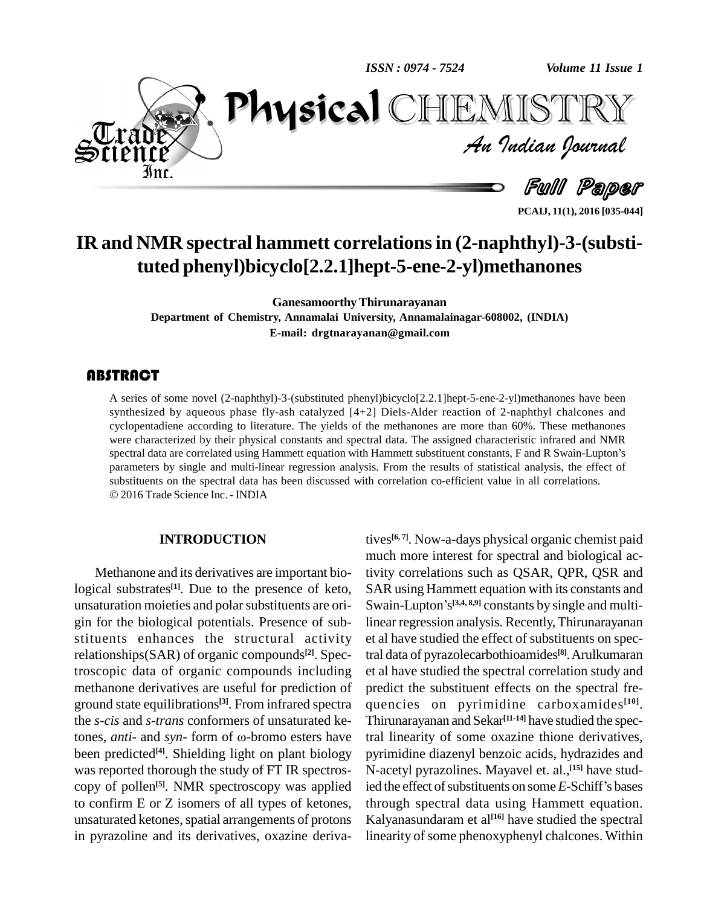*ISSN : 0974 - 7524*

*Volume 11 Issue 1*



*Volume 11 Issue 1*<br>IISTRY<br>Indian Iournal PhysicalTEMISTT

Full Paper

**PCAIJ, 11(1), 2016 [035-044]**

# **IR and NMR spectral hammett correlationsin (2-naphthyl)-3-(substituted phenyl)bicyclo[2.2.1]hept-5-ene-2-yl)methanones**

**GanesamoorthyThirunarayanan Department of Chemistry, Annamalai University, Annamalainagar-608002, (INDIA) E-mail: [drgtnarayanan@gmail.com](mailto:drgtnarayanna@gmail.com)**

A series of some novel (2-naphthyl)-3-(substituted phenyl)bicyclo[2.2.1]hept-5-ene-2-yl)methanones have been synthesized by aqueous phase fly-ash catalyzed [4+2] Diels-Alder reaction of 2-naphthyl chalcones and cyclopentad A series of some novel (2-naphthyl)-3-(substituted phenyl)bicyclo[2.2.1]hept-5-ene-2-yl)methanones have been synthesized by aqueous phase fly-ash catalyzed  $[4+2]$  Diels-Alder reaction of 2-naphthyl chalcones and were characterized by their physical constants and spectral data. The assigned characteristic infrared and NMR spectral data are correlated using Hammett equation with Hammett substituent constants, F and R Swain-Lupton's parameters by single and multi-linear regression analysis. From the results of statistical analysis, the effect of substituents on the spectral data has been discussed with correlation co-efficient value in all correlations. 2016 Trade Science Inc. - INDIA

### **INTRODUCTION**

Methanone and its derivatives are important biological substrates<sup>[1]</sup>. Due to the presence of keto, S<sub>4</sub> unsaturation moieties and polarsubstituents are ori gin for the biological potentials. Presence of sub stituents enhances the structural activity relationships(SAR) of organic compounds **[2]**. Spectroscopic data of organic compounds including methanone derivatives are useful for prediction of ground state equilibrations<sup>[3]</sup>. From infrared spectra quent<br>the *s-cis* and *s-trans* conformers of unsaturated ke-<br>tones, *anti*- and *syn*-form of ω-bromo esters have tral li the *s-cis* and *s-trans* conformers of unsaturated kebeen predicted<sup>[4]</sup>. Shielding light on plant biology pyrimi was reported thorough the study of FT IR spectros copy of pollen **[5]**. NMR spectroscopy was applied to confirm E or Z isomers of all types of ketones, unsaturated ketones, spatial arrangements of protons in pyrazoline and its derivatives, oxazine deriva-

tives **[6, 7]**. Now-a-days physical organic chemist paid much more interest for spectral and biological activity correlations such as QSAR, QPR, QSR and<br>SAR using Hammett equation with its constants and<br>Swain-Lupton's<sup>[3,4,8,9]</sup> constants by single and multi-SAR using Hammett equation with its constants and Swain-Lupton's<sup>[3,4, 8,9]</sup> constants by single and multilinear regression analysis. Recently,Thirunarayanan et al have studied the effect of substituents on spectral data of pyrazolecarbothioamides **[8]**.Arulkumaran et al have studied the spectral correlation study and predict the substituent effects on the spectral fre quencies on pyrimidine carboxamides **[10]**. Thirunarayanan and Sekar **[11-14]** have studied the spectral linearity of some oxazine thione derivatives, pyrimidine diazenyl benzoic acids, hydrazides and<br>N-acetyl pyrazolines. Mayavel et. al.,<sup>[15]</sup> have stud-<br>ied the effect of substituents on some *E*-Schiff's bases N-acetyl pyrazolines. Mayavel et. al., **[15]** have studthrough spectral data using Hammett equation. Kalyanasundaram et al **[16]** have studied the spectral linearity of some phenoxyphenyl chalcones. Within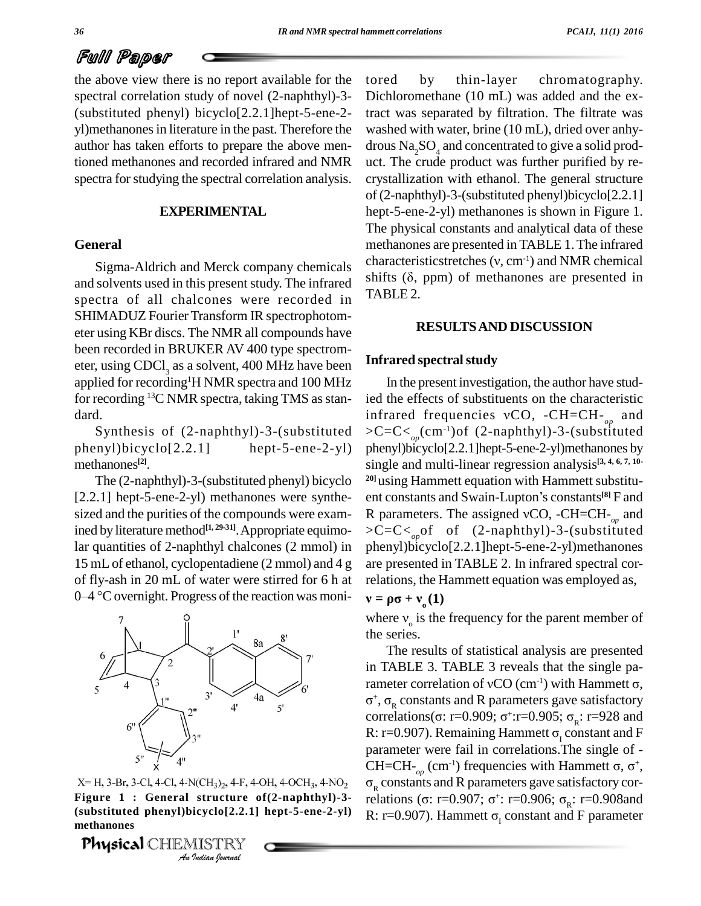# Full Paper

the above view there is no report available for the spectral correlation study of novel (2-naphthyl)-3- (substituted phenyl) bicyclo[2.2.1]hept-5-ene-2 yl)methanonesin literature in the past. Therefore the author has taken efforts to prepare the above men- $\frac{d}{dSQ_4}$  and concentrated to give a solid prodtioned methanones and recorded infrared and NMR spectra for studying the spectral correlation analysis.

### **EXPERIMENTAL**

### **General**

and solvents used in this present study. The infrared spectra of all chalcones were recorded in SHIMADUZ Fourier Transform IR spectrophotom eter using KBr discs. The NMR all compounds have been recorded in BRUKER AV 400 type spectrom eter, using  $CDCl<sub>3</sub>$  as a solvent, 400 MHz have been applied for recording<sup>1</sup>H NMR spectra and 100 MHz In for recording  $^{13}$ C NMR spectra, taking TMS as stan-ied dard.<br>Synthesis of (2-naphthyl)-3-(substituted

phenyl)bicyclo[2.2.1] hept-5-ene-2-yl) methanones **[2]**.

The (2-naphthyl)-3-(substituted phenyl) bicyclo [2.2.1] hept-5-ene-2-yl) methanones were synthe sized and the purities of the compounds were examined by literature method **[1, 29-31]**.Appropriate equimolar quantities of 2-naphthyl chalcones (2 mmol) in 15 mL of ethanol, cyclopentadiene (2 mmol) and 4 g of fly-ash in 20 mL of water were stirred for 6 h at  $0-4$  °C overnight. Progress of the reaction was moni-



*X*= H, 3-Br, 3-Cl, 4-Cl, 4-N(CH<sub>3</sub>)<sub>2</sub>, 4-F, 4-OH, 4-OCH<sub>3</sub>, 4-NO<sub>2</sub><br>**Figure 1 : General structure of (2-naphthyl)-3**<br>(substituted phenyl)bicyclo[2.2.1] hept-5-ene-2-yl<br>methanones<br>**Physical** CHEMISTRY<br>*Au Indian Journal* methanones<br>**Physical Figure 1 : General structure of(2-naphthyl)-3-**

Physical CHEMISTRY

Sigma-Aldrich and Merck company chemicals<br>scharacteristicstretches  $(v, cm<sup>-1</sup>)$  and NMR chemical<br>solvents used in this present study. The infrared shifts  $(\delta, ppm)$  of methanones are presented in by thin-layer chromatography. Dichloromethane (10 mL) was added and the extract was separated by filtration. The filtrate was washed with water, brine (10 mL), dried over anhy uct. The crude product was further purified by recrystallization with ethanol. The general structure of (2-naphthyl)-3-(substituted phenyl)bicyclo[2.2.1] hept-5-ene-2-yl) methanones is shown in Figure 1. The physical constants and analytical data of these methanones are presented in TABLE 1.The infrared The physical constants and analytical data of these<br>methanones are presented in TABLE 1. The infrared<br>characteristicstretches  $(v, cm^{-1})$  and NMR chemical methanones are presented in TABLE 1. The infrared<br>characteristicstretches (v, cm<sup>-1</sup>) and NMR chemical<br>shifts ( $\delta$ , ppm) of methanones are presented in TABLE 2.

### **RESULTSAND DISCUSSION**

### **Infrared spectralstudy**

In the present investigation, the author have studied the effects of substituents on the characteristic In the present investigation, the author have stud-<br>ied the effects of substituents on the characteristic<br>infrared frequencies  $vCO$ ,  $-CH=CH-<sub>op</sub>$  and >C=C<*op*(cm-1)of (2-naphthyl)-3-(substituted phenyl)bicyclo[2.2.1]hept-5-ene-2-yl)methanones by single and multi-linear regression analysis<sup>[3, 4, 6, 7, 10-<br><sup>20]</sup>using Hammett equation with Hammett substituent constants and Swain-Lupton's constants<sup>[8]</sup> F and</sup> **20]** using Hammett equation with Hammett substitu ent constants and Swain-Lupton's constants<sup>[8]</sup> F and <sup>20]</sup>using Hammett equation with Hammett substituent constants and Swain-Lupton's constants<sup>[8]</sup> F and R parameters. The assigned vCO, -CH=CH-<sub>*op*</sub> and >C=C<*op*of of (2-naphthyl)-3-(substituted phenyl)bicyclo[2.2.1]hept-5-ene-2-yl)methanones are presented in TABLE 2. In infrared spectral corare presented in TABLE 2. In infrared spectral correlations, the Hammett equation was employed as,  $\mathbf{v} = \mathbf{p}\mathbf{\sigma} + \mathbf{v}_{\mathbf{o}}(\mathbf{1})$ 

relations, the Hammett equation was employed as,<br>  $\mathbf{v} = \mathbf{\rho} \boldsymbol{\sigma} + \mathbf{v}_{0}(\mathbf{1})$ <br>
where  $v_{0}$  is the frequency for the parent member of the series.

The results of statistical analysis are presented in TABLE 3. TABLE 3 reveals that the single parameter correlation of vCO (cm<sup>-1</sup>) with Hammett  $\sigma$ , 1 TABLE 3. TABLE 3 reveals that the single pa-<br>ameter correlation of vCO (cm<sup>-1</sup>) with Hammett σ,<br>+, σ<sub>R</sub> constants and R parameters gave satisfactory rameter correlation of vCO (cm<sup>-1</sup>) with Hammett  $\sigma$ ,<br> $\sigma^+$ ,  $\sigma_R$  constants and R parameters gave satisfactory<br>correlations( $\sigma$ : r=0.909;  $\sigma^+$ :r=0.905;  $\sigma_R$ : r=928 and  $\sigma^+$ ,  $\sigma_R$  constants and R parameters gave satisfactory<br>correlations( $\sigma$ : r=0.909;  $\sigma^+$ :r=0.905;  $\sigma_R$ : r=928 and<br>R: r=0.907). Remaining Hammett  $\sigma_I$  constant and F parameter were fail in correlations.The single of - R: r=0.907). Remaining Hammett  $\sigma_I$  constant and F<br>parameter were fail in correlations. The single of -<br>CH=CH-<sub>op</sub> (cm<sup>-1</sup>) frequencies with Hammett  $\sigma$ ,  $\sigma^*$ ,  $\sigma_{\rm R}$  constants and R parameters gave satisfactory cor-CH=CH-<sub>op</sub> (cm<sup>-1</sup>) frequencies with Hammett  $\sigma$ ,  $\sigma^+$ ,<br> $\sigma_R$  constants and R parameters gave satisfactory cor-<br>relations ( $\sigma$ : r=0.907;  $\sigma^+$ : r=0.906;  $\sigma_R$ : r=0.908and  $\sigma_{\rm R}$  constants and R parameters gave satisfactory correlations ( $\sigma$ : r=0.907;  $\sigma^+$ : r=0.906;  $\sigma_{\rm R}$ : r=0.908and<br>R: r=0.907). Hammett  $\sigma_{\rm I}$  constant and F parameter (substituted phenyl)bicyclo[2.2.1] hept-5-ene-2-yl)  $R: r=0.907$ ). Hammett  $\sigma_r$  constant and F parameter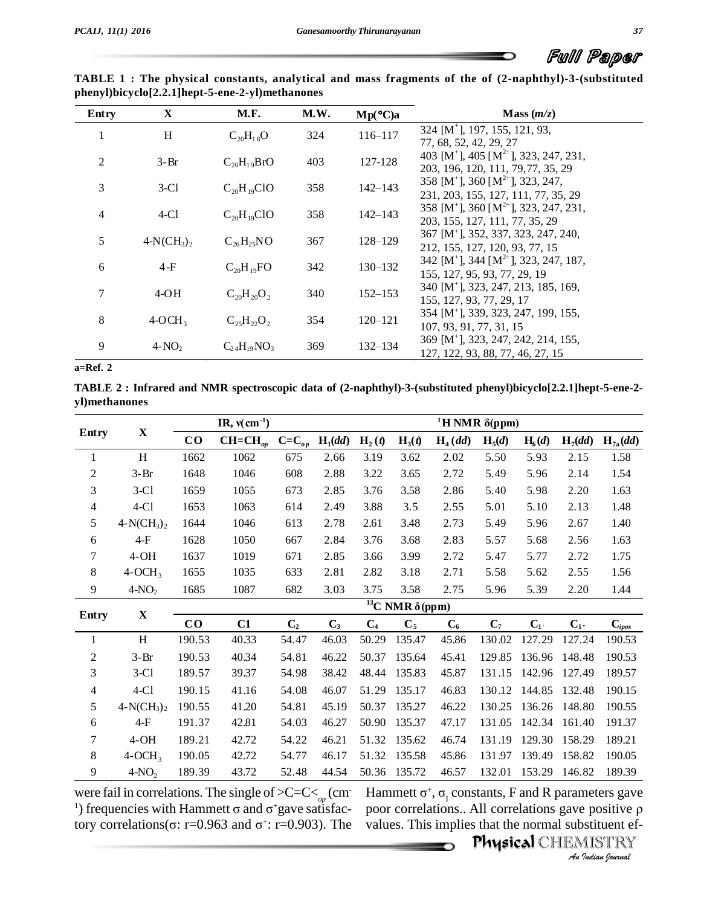∽

| TABLE 1: The physical constants, analytical and mass fragments of the of (2-naphthyl)-3-(substituted |  |  |  |
|------------------------------------------------------------------------------------------------------|--|--|--|
| phenyl)bicyclo[2.2.1]hept-5-ene-2-yl)methanones                                                      |  |  |  |

| Entry          | X           | <b>M.F.</b>        | M.W. | $Mp(^{\circ}C)a$ | Mass $(m/z)$                                                                                                                  |
|----------------|-------------|--------------------|------|------------------|-------------------------------------------------------------------------------------------------------------------------------|
| 1              | H           | $C_{20}H_{18}O$    | 324  | 116-117          | 324 [M <sup>+</sup> ], 197, 155, 121, 93,                                                                                     |
| $\overline{2}$ | $3-Br$      | $C_{20}H_{19}BrO$  | 403  | 127-128          | 77, 68, 52, 42, 29, 27<br>403 [M <sup>+</sup> ], 405 [M <sup>2+</sup> ], 323, 247, 231,<br>203, 196, 120, 111, 79, 77, 35, 29 |
| 3              | $3-C1$      | $C_{20}H_{19}ClO$  | 358  | $142 - 143$      | 358 [M <sup>+</sup> ], 360 [M <sup>2+</sup> ], 323, 247,<br>231, 203, 155, 127, 111, 77, 35, 29                               |
| 4              | $4-C1$      | $C_{20}H_{19}ClO$  | 358  | $142 - 143$      | 358 [M <sup>+</sup> ], 360 [M <sup>2+</sup> ], 323, 247, 231,<br>203, 155, 127, 111, 77, 35, 29                               |
| 5              | $4-N(CH_3)$ | $C_{26}H_{25}NO$   | 367  | 128-129          | 367 [M <sup>+</sup> ], 352, 337, 323, 247, 240,<br>212, 155, 127, 120, 93, 77, 15                                             |
| 6              | $4-F$       | $C_{20}H_{19}FO$   | 342  | $130 - 132$      | 342 [M <sup>+</sup> ], 344 [M <sup>2+</sup> ], 323, 247, 187,<br>155, 127, 95, 93, 77, 29, 19                                 |
| 7              | $4-OH$      | $C_{20}H_{20}O_2$  | 340  | $152 - 153$      | 340 [M <sup>+</sup> ], 323, 247, 213, 185, 169,<br>155, 127, 93, 77, 29, 17                                                   |
| 8              | $4-OCH3$    | $C_{25}H_{22}O_2$  | 354  | $120 - 121$      | 354 [M <sup>+</sup> ], 339, 323, 247, 199, 155,<br>107, 93, 91, 77, 31, 15                                                    |
| 9              | $4-NO2$     | $C_{24}H_{19}NO_3$ | 369  | $132 - 134$      | 369 [M <sup>+</sup> ], 323, 247, 242, 214, 155,<br>127, 122, 93, 88, 77, 46, 27, 15                                           |

 $a = Ref. 2$ 

TABLE 2: Infrared and NMR spectroscopic data of (2-naphthyl)-3-(substituted phenyl)bicyclo[2.2.1]hept-5-ene-2yl)methanones

|                |               |           |              | <sup>1</sup> H NMR $\delta$ (ppm) |           |                |                             |                     |                    |          |           |              |  |
|----------------|---------------|-----------|--------------|-----------------------------------|-----------|----------------|-----------------------------|---------------------|--------------------|----------|-----------|--------------|--|
| Entry          | $\mathbf X$   | $\bf{CO}$ | $CH=CH_{op}$ | $C=C_{op}$                        | $H_1(dd)$ | $H_2(t)$       | $H_3(t)$                    | H <sub>4</sub> (dd) | H <sub>5</sub> (d) | $H_6(d)$ | $H_7(dd)$ | $H_{7a}(dd)$ |  |
| 1              | H             | 1662      | 1062         | 675                               | 2.66      | 3.19           | 3.62                        | 2.02                | 5.50               | 5.93     | 2.15      | 1.58         |  |
| 2              | $3-Br$        | 1648      | 1046         | 608                               | 2.88      | 3.22           | 3.65                        | 2.72                | 5.49               | 5.96     | 2.14      | 1.54         |  |
| 3              | $3-C1$        | 1659      | 1055         | 673                               | 2.85      | 3.76           | 3.58                        | 2.86                | 5.40               | 5.98     | 2.20      | 1.63         |  |
| 4              | $4-C1$        | 1653      | 1063         | 614                               | 2.49      | 3.88           | 3.5                         | 2.55                | 5.01               | 5.10     | 2.13      | 1.48         |  |
| 5              | $4-N(CH_3)_2$ | 1644      | 1046         | 613                               | 2.78      | 2.61           | 3.48                        | 2.73                | 5.49               | 5.96     | 2.67      | 1.40         |  |
| 6              | $4-F$         | 1628      | 1050         | 667                               | 2.84      | 3.76           | 3.68                        | 2.83                | 5.57               | 5.68     | 2.56      | 1.63         |  |
| 7              | $4-OH$        | 1637      | 1019         | 671                               | 2.85      | 3.66           | 3.99                        | 2.72                | 5.47               | 5.77     | 2.72      | 1.75         |  |
| 8              | $4-OCH3$      | 1655      | 1035         | 633                               | 2.81      | 2.82           | 3.18                        | 2.71                | 5.58               | 5.62     | 2.55      | 1.56         |  |
| $\mathbf{9}$   | $4-NO2$       | 1685      | 1087         | 682                               | 3.03      | 3.75           | 3.58                        | 2.75                | 5.96               | 5.39     | 2.20      | 1.44         |  |
|                | $\mathbf X$   |           |              |                                   |           |                | $^{13}C$ NMR $\delta$ (ppm) |                     |                    |          |           |              |  |
| Entry          |               | $\bf{CO}$ | C1           | C <sub>2</sub>                    | $C_3$     | C <sub>4</sub> | $C_5$                       | $C_6$               | $C_7$              | $C_{1'}$ | $C_{1}$   | $C_{ipos}$   |  |
| 1              | H             | 190.53    | 40.33        | 54.47                             | 46.03     | 50.29          | 135.47                      | 45.86               | 130.02             | 127.29   | 127.24    | 190.53       |  |
| 2              | $3-Br$        | 190.53    | 40.34        | 54.81                             | 46.22     | 50.37          | 135.64                      | 45.41               | 129.85             | 136.96   | 148.48    | 190.53       |  |
| 3              | $3-C1$        | 189.57    | 39.37        | 54.98                             | 38.42     | 48.44          | 135.83                      | 45.87               | 131.15             | 142.96   | 127.49    | 189.57       |  |
| $\overline{4}$ | $4-C1$        | 190.15    | 41.16        | 54.08                             | 46.07     | 51.29          | 135.17                      | 46.83               | 130.12             | 144.85   | 132.48    | 190.15       |  |
| 5              | $4-N(CH_3)_2$ | 190.55    | 41.20        | 54.81                             | 45.19     | 50.37          | 135.27                      | 46.22               | 130.25             | 136.26   | 148.80    | 190.55       |  |
| 6              | $4-F$         | 191.37    | 42.81        | 54.03                             | 46.27     | 50.90          | 135.37                      | 47.17               | 131.05             | 142.34   | 161.40    | 191.37       |  |
| 7              | $4-OH$        | 189.21    | 42.72        | 54.22                             | 46.21     | 51.32          | 135.62                      | 46.74               | 131.19             | 129.30   | 158.29    | 189.21       |  |
| $\,8\,$        | $4-OCH3$      | 190.05    | 42.72        | 54.77                             | 46.17     | 51.32          | 135.58                      | 45.86               | 131.97             | 139.49   | 158.82    | 190.05       |  |
| 9              | $4-NO2$       | 189.39    | 43.72        | 52.48                             | 44.54     | 50.36          | 135.72                      | 46.57               | 132.01             | 153.29   | 146.82    | 189.39       |  |

were fail in correlations. The single of  $>C=C<_{op}$  (cm<sup>1</sup>) frequencies with Hammett  $\sigma$  and  $\sigma^+$ gave satisfactory correlations( $\sigma$ : r=0.963 and  $\sigma$ <sup>+</sup>: r=0.903). The Hammett  $\sigma^+$ ,  $\sigma_{\text{r}}$  constants, F and R parameters gave poor correlations.. All correlations gave positive  $\rho$ values. This implies that the normal substituent ef-

Physical CHEMISTRY An Indian Journal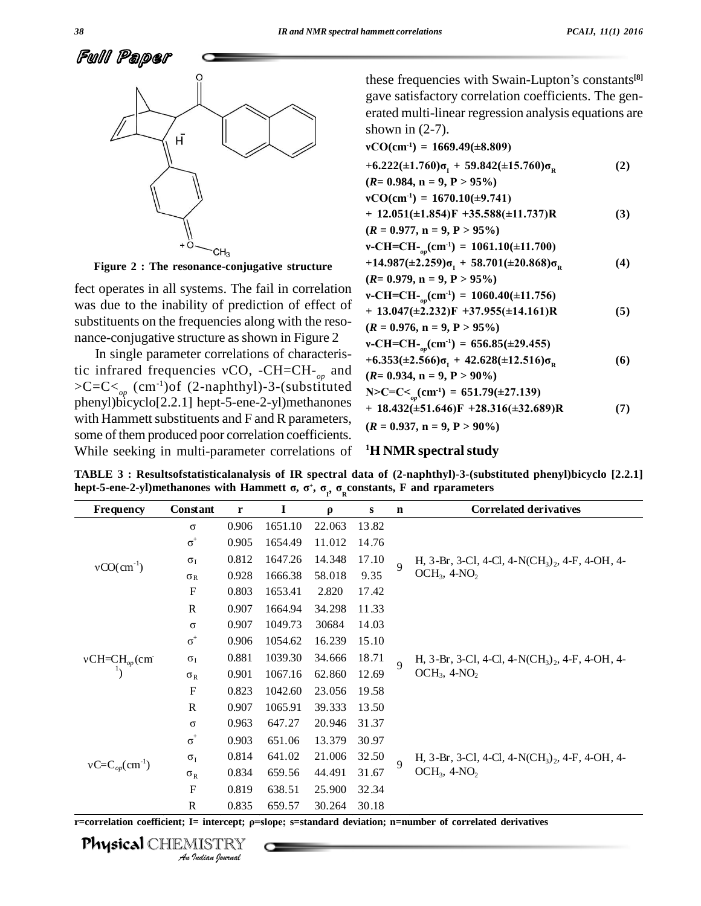

Figure 2 : The resonance-conjugative structure

fect operates in all systems. The fail in correlation was due to the inability of prediction of effect of substituents on the frequencies along with the resonance-conjugative structure as shown in Figure 2

In single parameter correlations of characteristic infrared frequencies vCO, -CH=CH- $_{op}$  and >C=C<<sub>op</sub> (cm<sup>-1</sup>)of (2-naphthyl)-3-(substituted<br>phenyl)bicyclo[2.2.1] hept-5-ene-2-yl)methanones with Hammett substituents and F and R parameters, some of them produced poor correlation coefficients. While seeking in multi-parameter correlations of

these frequencies with Swain-Lupton's constants<sup>[8]</sup> gave satisfactory correlation coefficients. The generated multi-linear regression analysis equations are shown in  $(2-7)$ .

vCO(cm<sup>-1</sup>) = 1669.49(
$$
\pm 8.809
$$
)  
\n+6.222( $\pm 1.760$ ) $\sigma_1$  + 59.842( $\pm 15.760$ ) $\sigma_R$  (2)  
\n( $R = 0.984$ , n = 9, P > 95%)  
\nvCO(cm<sup>-1</sup>) = 1670.10( $\pm 9.741$ )  
\n+ 12.051( $\pm 1.854$ )F +35.588( $\pm 11.737$ )R (3)  
\n( $R = 0.977$ , n = 9, P > 95%)  
\nv-CH=CH<sub>-*op*</sub>(cm<sup>-1</sup>) = 1061.10( $\pm 11.700$ )  
\n+14.987( $\pm 2.259$ ) $\sigma_1$  + 58.701( $\pm 20.868$ ) $\sigma_R$  (4)  
\n( $R = 0.979$ , n = 9, P > 95%)  
\nv-CH=CH<sub>-*op*</sub>(cm<sup>-1</sup>) = 1060.40( $\pm 11.756$ )  
\n+ 13.047( $\pm 2.232$ )F +37.955( $\pm 14.161$ )R (5)  
\n( $R = 0.976$ , n = 9, P > 95%)  
\nv-CH=CH<sub>-*op*</sub>(cm<sup>-1</sup>) = 656.85( $\pm 29.455$ )  
\n+6.353( $\pm 2.566$ ) $\sigma_1$  + 42.628( $\pm 12.516$ ) $\sigma_R$  (6)  
\n( $R = 0.934$ , n = 9, P > 90%)  
\nN>C=C= $\sigma_p$ (cm<sup>-1</sup>) = 651.79( $\pm 27.139$ )  
\n+ 18.432( $\pm 51.646$ )F +28.316( $\pm 32.689$ )R (7)  
\n( $R = 0.937$ 

### <sup>1</sup>H NMR spectral study

TABLE 3: Results of statistical analysis of IR spectral data of (2-naphthyl)-3-(substituted phenyl) bicyclo [2.2.1] hept-5-ene-2-yl)methanones with Hammett  $\sigma$ ,  $\sigma^+$ ,  $\sigma_{\rho}$ ,  $\sigma_{\rho}$ constants, F and rparameters

| Frequency            | Constant                        | $\mathbf r$ | I       | $\rho$ | ${\bf S}$ | $\mathbf n$    | <b>Correlated derivatives</b>                                                                |  |  |  |
|----------------------|---------------------------------|-------------|---------|--------|-----------|----------------|----------------------------------------------------------------------------------------------|--|--|--|
|                      | $\sigma$                        | 0.906       | 1651.10 | 22.063 | 13.82     |                |                                                                                              |  |  |  |
|                      | $\sigma^+$                      | 0.905       | 1654.49 | 11.012 | 14.76     |                |                                                                                              |  |  |  |
| $vCO(cm^{-1})$       | $\sigma_I$                      | 0.812       | 1647.26 | 14.348 | 17.10     | $\overline{Q}$ | H, 3-Br, 3-Cl, 4-Cl, 4-N(CH <sub>3</sub> ) <sub>2</sub> , 4-F, 4-OH, 4-                      |  |  |  |
|                      | $\sigma_R$                      | 0.928       | 1666.38 | 58.018 | 9.35      |                | $OCH3$ , 4-NO <sub>2</sub>                                                                   |  |  |  |
|                      | F                               | 0.803       | 1653.41 | 2.820  | 17.42     |                |                                                                                              |  |  |  |
|                      | $\mathbf{R}$                    | 0.907       | 1664.94 | 34.298 | 11.33     |                |                                                                                              |  |  |  |
|                      | $\sigma$                        | 0.907       | 1049.73 | 30684  | 14.03     |                |                                                                                              |  |  |  |
|                      | $\sigma^+$                      | 0.906       | 1054.62 | 16.239 | 15.10     |                |                                                                                              |  |  |  |
| $vCH=CH_{op}(cm)$    | $\sigma_I$                      | 0.881       | 1039.30 | 34.666 | 18.71     | $\overline{Q}$ | H, 3-Br, 3-Cl, 4-Cl, 4-N(CH <sub>3</sub> ) <sub>2</sub> , 4-F, 4-OH, 4-<br>$OCH3$ , 4- $NO2$ |  |  |  |
|                      | $\sigma_R$                      | 0.901       | 1067.16 | 62.860 | 12.69     |                |                                                                                              |  |  |  |
|                      | $\boldsymbol{\mathrm{F}}$       | 0.823       | 1042.60 | 23.056 | 19.58     |                |                                                                                              |  |  |  |
|                      | $\mathbf R$                     | 0.907       | 1065.91 | 39.333 | 13.50     |                |                                                                                              |  |  |  |
|                      | $\sigma$                        | 0.963       | 647.27  | 20.946 | 31.37     |                |                                                                                              |  |  |  |
|                      | $\sigma^{\scriptscriptstyle +}$ | 0.903       | 651.06  | 13.379 | 30.97     |                |                                                                                              |  |  |  |
|                      | $\sigma_{I}$                    | 0.814       | 641.02  | 21.006 | 32.50     | $\overline{Q}$ | H, 3-Br, 3-Cl, 4-Cl, 4-N(CH <sub>3</sub> ) <sub>2</sub> , 4-F, 4-OH, 4-                      |  |  |  |
| $vC=C_{op}(cm^{-1})$ | $\sigma_R$                      | 0.834       | 659.56  | 44.491 | 31.67     |                | $OCH3$ , 4-NO <sub>2</sub>                                                                   |  |  |  |
|                      | F                               | 0.819       | 638.51  | 25.900 | 32.34     |                |                                                                                              |  |  |  |
|                      | R                               | 0.835       | 659.57  | 30.264 | 30.18     |                |                                                                                              |  |  |  |

r=correlation coefficient; I= intercept; p=slope; s=standard deviation; n=number of correlated derivatives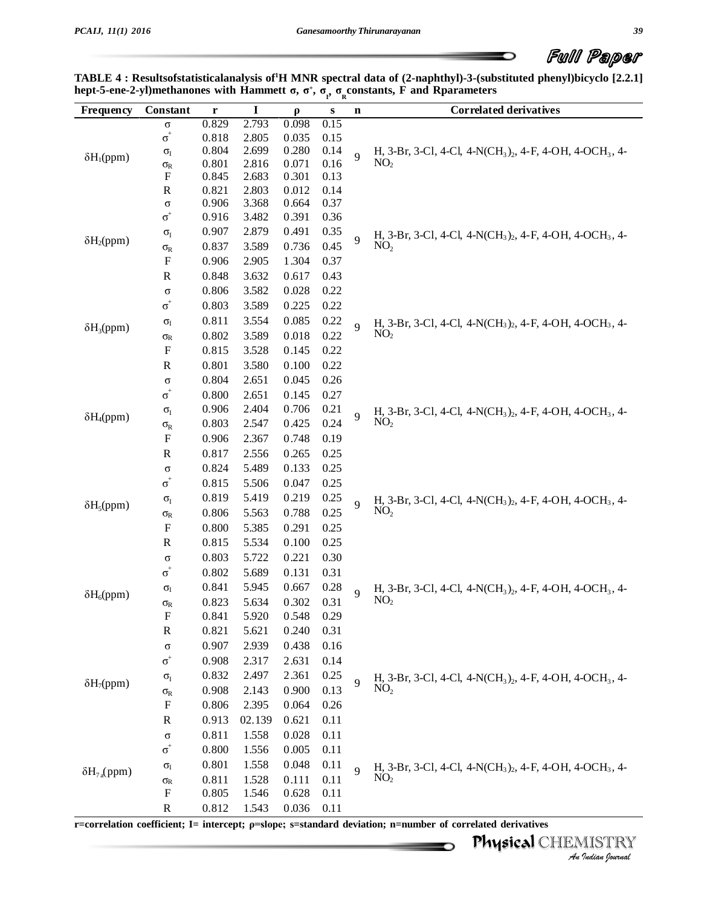$\overline{\phantom{0}}$ 

|                           |              |  |  | uwu uguwan                                                                                                                                                                                                                                                |  |
|---------------------------|--------------|--|--|-----------------------------------------------------------------------------------------------------------------------------------------------------------------------------------------------------------------------------------------------------------|--|
|                           |              |  |  | TABLE 4 : Resultsofstatisticalanalysis of H MNR spectral data of (2-naphthyl)-3-(substituted phenyl)bicyclo [2.2.1]<br>hept-5-ene-2-yl)methanones with Hammett $\sigma$ , $\sigma^+$ , $\sigma_{\sigma}$ , $\sigma_{\sigma}$ constants, F and Rparameters |  |
| <b>Frequency</b> Constant | $\mathbf{r}$ |  |  | <b>Correlated derivatives</b>                                                                                                                                                                                                                             |  |

| Frequency            | Constant                                    | r              | $\mathbf I$    | $\boldsymbol{\rho}$ | ${\bf S}$    | $\mathbf n$    | <b>Correlated derivatives</b>                                                                                   |
|----------------------|---------------------------------------------|----------------|----------------|---------------------|--------------|----------------|-----------------------------------------------------------------------------------------------------------------|
|                      | $\sigma$                                    | 0.829          | 2.793          | 0.098               | 0.15         |                |                                                                                                                 |
|                      | $\sigma^{\scriptscriptstyle +}$             | 0.818          | 2.805          | 0.035               | 0.15         |                |                                                                                                                 |
| $\delta H_1(ppm)$    | $\sigma_{\rm I}$                            | 0.804          | 2.699          | 0.280               | 0.14         | $\overline{9}$ | H, 3-Br, 3-Cl, 4-Cl, 4-N(CH <sub>3</sub> ) <sub>2</sub> , 4-F, 4-OH, 4-OCH <sub>3</sub> , 4-                    |
|                      | $\sigma_{\rm R}$                            | 0.801          | 2.816          | 0.071               | 0.16         |                | NO <sub>2</sub>                                                                                                 |
|                      | F                                           | 0.845<br>0.821 | 2.683<br>2.803 | 0.301               | 0.13<br>0.14 |                |                                                                                                                 |
|                      | ${\mathbb R}$<br>$\sigma$                   | 0.906          | 3.368          | 0.012<br>0.664      | 0.37         |                |                                                                                                                 |
|                      | $\sigma^{\scriptscriptstyle +}$             | 0.916          | 3.482          | 0.391               | 0.36         |                |                                                                                                                 |
|                      | $\sigma_{\rm I}$                            | 0.907          | 2.879          | 0.491               | 0.35         |                |                                                                                                                 |
| $\delta H_2(ppm)$    | $\sigma_{\rm R}$                            | 0.837          | 3.589          | 0.736               | 0.45         | 9              | H, 3-Br, 3-Cl, 4-Cl, 4-N(CH <sub>3</sub> ) <sub>2</sub> , 4-F, 4-OH, 4-OCH <sub>3</sub> , 4-<br>NO <sub>2</sub> |
|                      | $\boldsymbol{\mathrm{F}}$                   | 0.906          | 2.905          | 1.304               | 0.37         |                |                                                                                                                 |
|                      | $\mathbf R$                                 | 0.848          | 3.632          | 0.617               | 0.43         |                |                                                                                                                 |
|                      | $\sigma$                                    | 0.806          | 3.582          | 0.028               | 0.22         |                |                                                                                                                 |
|                      | $\sigma^{\scriptscriptstyle +}$             | 0.803          | 3.589          | 0.225               | 0.22         |                |                                                                                                                 |
|                      |                                             | 0.811          | 3.554          | 0.085               | 0.22         |                |                                                                                                                 |
| $\delta H_3(ppm)$    | $\sigma_{\rm I}$                            | 0.802          | 3.589          | 0.018               | 0.22         | $\overline{Q}$ | H, 3-Br, 3-Cl, 4-Cl, 4-N(CH <sub>3</sub> ) <sub>2</sub> , 4-F, 4-OH, 4-OCH <sub>3</sub> , 4-<br>NO <sub>2</sub> |
|                      | $\sigma_{\!R}$<br>$\boldsymbol{\mathrm{F}}$ | 0.815          | 3.528          |                     |              |                |                                                                                                                 |
|                      |                                             |                |                | 0.145               | 0.22         |                |                                                                                                                 |
|                      | ${\mathbb R}$                               | 0.801          | 3.580          | 0.100               | 0.22         |                |                                                                                                                 |
|                      | $\sigma$                                    | 0.804          | 2.651          | 0.045               | 0.26         |                |                                                                                                                 |
|                      | $\sigma^{\scriptscriptstyle +}$             | 0.800          | 2.651          | 0.145               | 0.27         |                |                                                                                                                 |
| $\delta H_4(ppm)$    | $\sigma_{I}$                                | 0.906          | 2.404          | 0.706               | 0.21         | $\overline{Q}$ | H, 3-Br, 3-Cl, 4-Cl, 4-N(CH <sub>3</sub> ) <sub>2</sub> , 4-F, 4-OH, 4-OCH <sub>3</sub> , 4-<br>NO <sub>2</sub> |
|                      | $\sigma_{\rm R}$                            | 0.803          | 2.547          | 0.425               | 0.24         |                |                                                                                                                 |
|                      | $\boldsymbol{\mathrm{F}}$                   | 0.906          | 2.367          | 0.748               | 0.19         |                |                                                                                                                 |
|                      | ${\bf R}$                                   | 0.817          | 2.556          | 0.265               | 0.25         |                |                                                                                                                 |
|                      | $\sigma$                                    | 0.824          | 5.489          | 0.133               | 0.25         |                |                                                                                                                 |
|                      | $\sigma^{\scriptscriptstyle +}$             | 0.815          | 5.506          | 0.047               | 0.25         |                |                                                                                                                 |
| $\delta H_5$ (ppm)   | $\sigma_{I}$                                | 0.819          | 5.419          | 0.219               | 0.25         | $\overline{Q}$ | H, 3-Br, 3-Cl, 4-Cl, 4-N(CH <sub>3</sub> ) <sub>2</sub> , 4-F, 4-OH, 4-OCH <sub>3</sub> , 4-                    |
|                      | $\sigma_{\rm R}$                            | 0.806          | 5.563          | 0.788               | 0.25         |                | NO <sub>2</sub>                                                                                                 |
|                      | $\boldsymbol{\mathrm{F}}$                   | 0.800          | 5.385          | 0.291               | 0.25         |                |                                                                                                                 |
|                      | ${\bf R}$                                   | 0.815          | 5.534          | 0.100               | 0.25         |                |                                                                                                                 |
|                      | $\sigma$                                    | 0.803          | 5.722          | 0.221               | 0.30         |                |                                                                                                                 |
|                      | $\sigma^{\scriptscriptstyle +}$             | 0.802          | 5.689          | 0.131               | 0.31         |                |                                                                                                                 |
| $\delta H_6(ppm)$    | $\sigma_{\rm I}$                            | 0.841          | 5.945          | 0.667               | 0.28         | $\overline{Q}$ | H, 3-Br, 3-Cl, 4-Cl, 4-N(CH <sub>3</sub> ) <sub>2</sub> , 4-F, 4-OH, 4-OCH <sub>3</sub> , 4-                    |
|                      | $\sigma_{\rm R}$                            | 0.823          | 5.634          | 0.302               | 0.31         |                | NO <sub>2</sub>                                                                                                 |
|                      | $\boldsymbol{F}$                            | 0.841          | 5.920          | 0.548               | 0.29         |                |                                                                                                                 |
|                      | $\mathbf R$                                 | 0.821          | 5.621          | 0.240               | 0.31         |                |                                                                                                                 |
|                      | $\sigma$                                    | 0.907          | 2.939          | 0.438               | 0.16         |                |                                                                                                                 |
|                      | $\sigma^{\scriptscriptstyle +}$             | 0.908          | 2.317          | 2.631               | 0.14         |                |                                                                                                                 |
| $\delta H_7$ (ppm)   | $\sigma_{I}$                                | 0.832          | 2.497          | 2.361               | 0.25         | $\overline{9}$ | H, 3-Br, 3-Cl, 4-Cl, 4-N(CH <sub>3</sub> ) <sub>2</sub> , 4-F, 4-OH, 4-OCH <sub>3</sub> , 4-                    |
|                      | $\sigma_{\rm R}$                            | 0.908          | 2.143          | 0.900               | 0.13         |                | NO <sub>2</sub>                                                                                                 |
|                      | F                                           | 0.806          | 2.395          | 0.064               | 0.26         |                |                                                                                                                 |
|                      | R                                           | 0.913          | 02.139         | 0.621               | 0.11         |                |                                                                                                                 |
|                      | $\sigma$                                    | 0.811          | 1.558          | 0.028               | 0.11         |                |                                                                                                                 |
|                      | $\sigma^{\scriptscriptstyle +}$             | 0.800          | 1.556          | 0.005               | 0.11         |                |                                                                                                                 |
|                      | $\sigma_{\rm I}$                            | 0.801          | 1.558          | 0.048               | 0.11         | $\overline{Q}$ | H, 3-Br, 3-Cl, 4-Cl, 4-N(CH <sub>3</sub> ) <sub>2</sub> , 4-F, 4-OH, 4-OCH <sub>3</sub> , 4-                    |
| $\delta H_{7a}(ppm)$ | $\sigma_{\rm R}$                            | 0.811          | 1.528          | 0.111               | 0.11         |                | NO <sub>2</sub>                                                                                                 |
|                      | ${\bf F}$                                   | 0.805          | 1.546          | 0.628               | 0.11         |                |                                                                                                                 |
|                      | $\mathbf R$                                 | 0.812          | 1.543          | 0.036               | 0.11         |                |                                                                                                                 |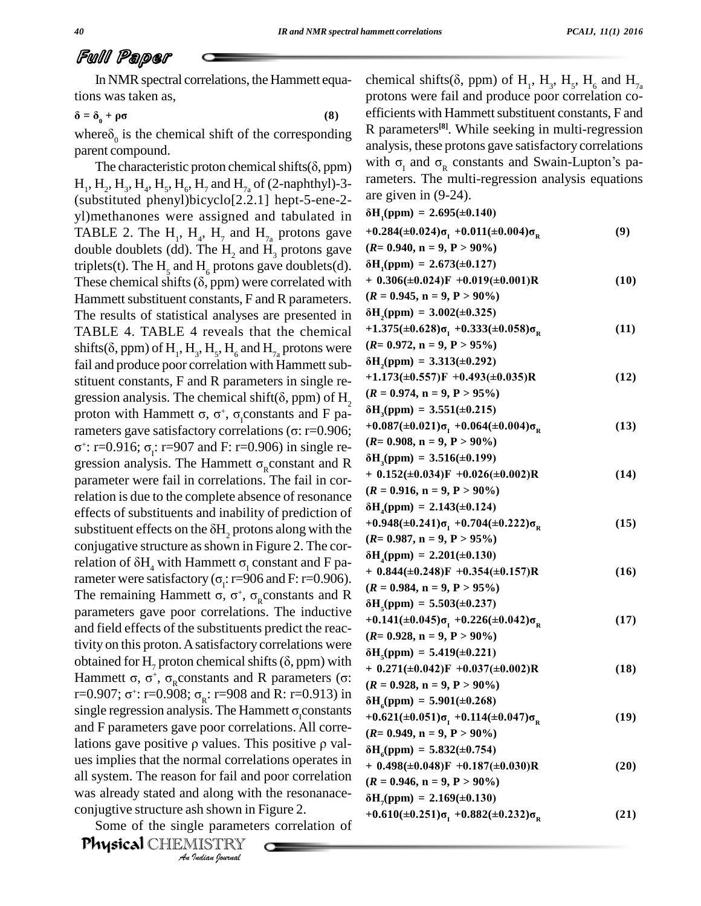$\overline{+}$ 

 $\ddot{}$ 

**‰H**

 $\overline{+}$ 

 $\ddot{}$ 

## Full Paper

In NMR spectral correlations, the Hammett equations was taken as, **‰** $\overrightarrow{0}$  **o m with operations**, the rammed equal ons was taken as,<br>=  $\delta_0 + \rho \sigma$  (8)

tions was taken as,<br>  $\delta = \delta_0 + \rho \sigma$  (8) efficien<br>
where  $\delta_0$  is the chemical shift of the corresponding R para<br>
parent compound.<br>
The characteristic proton chemical shifts( $\delta$ , ppm) with  $\sigma$ parent compound.

ues implies that the normal correlations operates in  $A_0$ *In for fail and d along with*<br>*Indiana Indiana*<br>*Ile paramete*<br>*IISTRY*<br>*Indian Ipurnal*  $H_1, H_2, H_3, H_4, H_5, H_6, H_7$  and  $H_{7a}$  of (2-naphthyl)-3-(substituted phenyl)bicyclo[2.2.1] hept-5-ene-2-  $\frac{ar}{\omega}$ <br>vl)methanones were assigned and tabulated in  $\delta$ E yl)methanones were assigned and tabulated in TABLE 2. The H<sub>1</sub>, H<sub>4</sub>, H<sub>7</sub> and H<sub>7a</sub> protons gave  $+0.284$ double doublets (dd). The H<sub>2</sub> and H<sub>3</sub> protons gave ( $R=0.9$ )<br>triplets(t). The H<sub>5</sub> and H<sub>6</sub> protons gave doublets(d).  $\delta H_1(pp)$ <br>These chemical shifts ( $\delta$ , ppm) were correlated with + 0.306 Hammett substituent constants, F and R parameters.  $(R)$ The results of statistical analyses are presented in  $\delta$ **F** TABLE 4. TABLE 4 reveals that the chemical  $+1$ <br>shifts( $\delta$  ppm) of H H H H and H protons were (R The results of statistical analyses are presented in  $\delta H_2(p)$ <br>TABLE 4. TABLE 4 reveals that the chemical  $+1.375$ <br>shifts( $\delta$ , ppm) of H<sub>1</sub>, H<sub>3</sub>, H<sub>5</sub>, H<sub>6</sub> and H<sub>7a</sub> protons were ( $R = 0$ . fail and produce poor correlation with Hammett sub-<br>stituent constants, F and R parameters in single re-<br>gression analysis. The chemical shift( $\delta$ , ppm) of H<sub>2</sub> ( $\mathbb{R}$  = stituent constants, F and R parameters in single re-<br>
gression analysis. The chamical shift( $\delta$ , npm) of H stituent constants, F and R parameters in single re-<br>gression analysis. The chemical shift( $\delta$ , ppm) of H<sub>2</sub> ( $\mathcal{R} =$ <br>proton with Hammett  $\sigma$ ,  $\sigma^+$ ,  $\sigma_i$ constants and F pa-<br> $\delta H_3$ gression analysis. The chemical shift( $\delta$ , ppm) of H<sub>2</sub><br>proton with Hammett  $\sigma$ ,  $\sigma^+$ ,  $\sigma_1$ constants and F pa-<br>rameters gave satisfactory correlations ( $\sigma$ : r=0.906; <sup>+0</sup>  $\div$ : r=0.916 proton with Hammett  $\sigma$ ,  $\sigma^+$ ,  $\sigma_1$ constants and F pa-<br>rameters gave satisfactory correlations ( $\sigma$ : r=0.906; +0.087( $\pm$ 0.<br> $\sigma^+$ : r=0.916;  $\sigma_1$ : r=907 and F: r=0.906) in single re-<br>gression analysis. The Hammett parameter were fail in correlations. The fail in cor-<br>making is due to the complete absence of resonance relation is due to the complete absence of resonance<br>
effects of substituents and inability of prediction of<br>
substituent effects on the  $\delta H_2$  protons along with the effects of substituents and inability of prediction of  $\delta$ F conjugative structure as shown in Figure 2. The corsubstituent effects on the  $\delta H_2$  protons along with the<br>conjugative structure as shown in Figure 2. The cor-<br>relation of  $\delta H_4$  with Hammett  $\sigma_1$  constant and F paconjugative structure as shown in Figure 2. The cor-<br>relation of  $\delta H_4$  with Hammett  $\sigma_1$  constant and F pa-<br>rameter were satisfactory ( $\sigma_i$ : r=906 and F: r=0.906).<br>The remaining Hammett  $\sigma$ ,  $\sigma^+$ ,  $\sigma_p$  constants The remaining Hammett  $\sigma$ ,  $\sigma^+$ ,  $\sigma_p$  constants and R relation of  $\delta H_4$  with Hammett  $\sigma_1$  constant and F parameter were satisfactory ( $\sigma_1$ : r=906 and F: r=0.906).<br>The remaining Hammett  $\sigma$ ,  $\sigma^+$ ,  $\sigma_R$  constants and R  $\delta$ parameters gave poor correlations. The inductive and field effects of the substituents predict the reac-<br> $\overrightarrow{R}$ tivity on this proton. A satisfactory correlations were  $\delta$ F obtained for H<sub>2</sub> proton chemical shifts ( $\delta$ , ppm) with tivity on this proton. A satisfactory correlations were<br>obtained for H<sub>7</sub> proton chemical shifts ( $\delta$ , ppm) with<br>Hammett  $\sigma$ ,  $\sigma^+$ ,  $\sigma_R$ constants and R parameters ( $\sigma$ : obtained for H<sub>7</sub> proton chemical<br>Hammett  $\sigma$ ,  $\sigma^+$ ,  $\sigma_{\rm R}$ constants an<br>r=0.907;  $\sigma^+$ : r=0.908;  $\sigma_{\rm R}$ : r=908  $\tau$ : r=0.908;  $\sigma_p$ : r=908 and R: r=0.913) in  $\frac{1}{8}$  (pp) Hammett  $\sigma$ ,  $\sigma^+$ ,  $\sigma_R$ constants and R parameters ( $\sigma$ :<br>r=0.907;  $\sigma^+$ : r=0.908;  $\sigma_R$ : r=908 and R: r=0.913) in<br>single regression analysis. The Hammett  $\sigma_l$ constants<br> $+0.62$ and F parameters gave poor correlations. All corresingle regression analysis. The Hammett  $\sigma_1$  constants<br>and F parameters gave poor correlations. All correlations gave positive  $\rho$  values. This positive  $\rho$  valall system. The reason for fail and poor correlation  $\mathbb{R}$ was already stated and along with the resonanace- $\delta$ F conjugtive structure ash shown in Figure 2.

Some of the single parameters correlation of

Physical CHEMISTRY

chemical shifts( $\delta$ , ppm) of  $H_1$ ,  $H_3$ ,  $H_5$ ,  $H_6$  and protons were fail and produce poor correlation coefficients with Hammett substituent constants, F and R parameters<sup>[8]</sup>. While seeking in multi-regression<br>analysis, these protons gave satisfactory correlations<br>with  $\sigma_I$  and  $\sigma_R$  constants and Swain-Lupton's paanalysis, these protons gave satisfactory correlations

rameters. The multi-regression analysis equations  
\nare given in (9-24).  
\n
$$
\delta H_1(ppm) = 2.695(\pm 0.140)
$$
  
\n+0.284(±0.024)σ<sub>1</sub> +0.011(±0.004)σ<sub>R</sub> (9)  
\n(R= 0.940, n = 9, P > 90%)  
\n $\delta H_1(ppm) = 2.673(\pm 0.127)$   
\n+ 0.306(±0.024)F +0.019(±0.001)R (10)  
\n(R = 0.945, n = 9, P > 90%)  
\n $\delta H_2(ppm) = 3.002(\pm 0.325)$   
\n+1.375(±0.628)σ<sub>1</sub> +0.333(±0.058)σ<sub>R</sub> (11)  
\n(R= 0.972, n = 9, P > 95%)  
\n $\delta H_2(ppm) = 3.313(\pm 0.222)$   
\n $\delta H_2(ppm) = 3.313(\pm 0.229)$   
\n $\delta H_3(ppm) = 3.51(\pm 0.215)$   
\n+0.087(±0.021)σ<sub>1</sub> +0.049(±0.035)R (12)  
\n(R= 0.974, n = 9, P > 95%)  
\n $\delta H_3(ppm) = 3.55(\pm 0.215)$   
\n+0.087(±0.021)σ<sub>1</sub> +0.064(±0.004)σ<sub>R</sub> (13)  
\n(R= 0.908, n = 9, P > 90%)  
\n $\delta H_4(ppm) = 2.143(\pm 0.124)$   
\n+0.152(±0.034)F +0.026(±0.002)R (14)  
\nR= 0.916, n = 9, P > 90%)  
\n $\delta H_4(ppm) = 2.201(\pm 0.130)$   
\n+ 0.152(±0.034)F +0.25(±0.22)σ<sub>R</sub> (15)  
\n(R= 0.987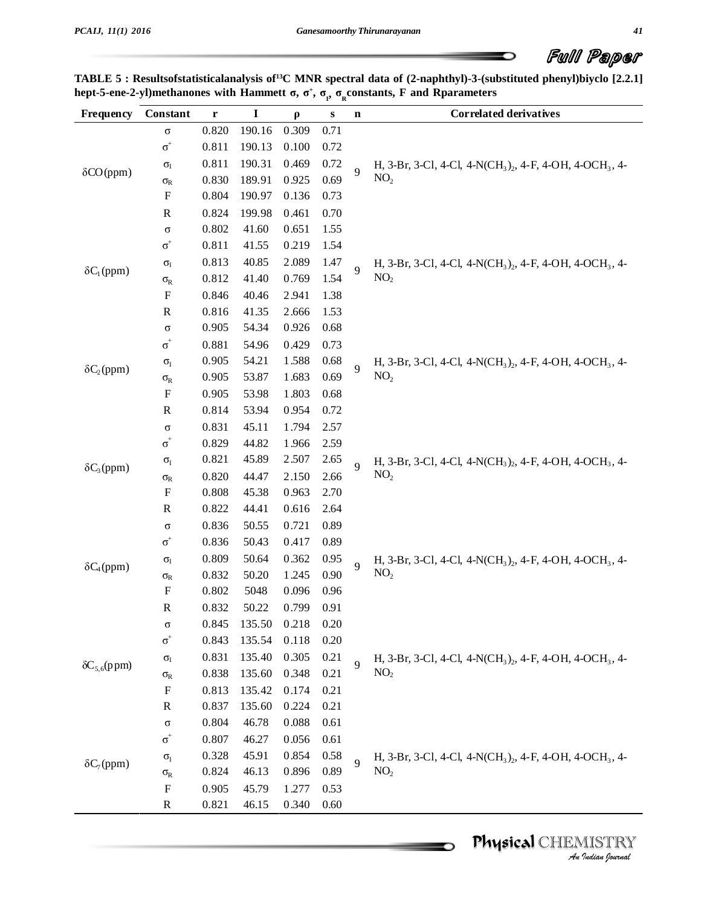$\overline{\phantom{0}}$ 

| TABLE 5 : Results of statistical analysis of <sup>13</sup> C MNR spectral data of (2-naphthyl)-3-(substituted phenyl) biyclo [2.2.1] |  |
|--------------------------------------------------------------------------------------------------------------------------------------|--|
| hept-5-ene-2-yl)methanones with Hammett $\sigma$ , $\sigma^+$ , $\sigma^+$ , $\sigma^-$ constants, F and Rparameters                 |  |

| Frequency             | Constant                        | r     | $\mathbf I$ | $\rho$ | S    | $\mathbf n$    | <b>Correlated derivatives</b>                                                                |
|-----------------------|---------------------------------|-------|-------------|--------|------|----------------|----------------------------------------------------------------------------------------------|
|                       | $\sigma$                        | 0.820 | 190.16      | 0.309  | 0.71 |                |                                                                                              |
|                       | $\sigma^{\scriptscriptstyle +}$ | 0.811 | 190.13      | 0.100  | 0.72 |                |                                                                                              |
|                       | $\sigma_{\rm I}$                | 0.811 | 190.31      | 0.469  | 0.72 | $\overline{9}$ | H, 3-Br, 3-Cl, 4-Cl, 4-N(CH <sub>3</sub> ) <sub>2</sub> , 4-F, 4-OH, 4-OCH <sub>3</sub> , 4- |
| $\delta CO(ppm)$      | $\sigma_{\rm R}$                | 0.830 | 189.91      | 0.925  | 0.69 |                | NO <sub>2</sub>                                                                              |
|                       | $\boldsymbol{\mathrm{F}}$       | 0.804 | 190.97      | 0.136  | 0.73 |                |                                                                                              |
|                       | $\mathbb{R}$                    | 0.824 | 199.98      | 0.461  | 0.70 |                |                                                                                              |
|                       | $\sigma$                        | 0.802 | 41.60       | 0.651  | 1.55 |                |                                                                                              |
|                       | $\sigma^{\scriptscriptstyle +}$ | 0.811 | 41.55       | 0.219  | 1.54 |                |                                                                                              |
| $\delta C_1$ (ppm)    | $\sigma_{\rm I}$                | 0.813 | 40.85       | 2.089  | 1.47 | $\overline{9}$ | H, 3-Br, 3-Cl, 4-Cl, 4-N(CH <sub>3</sub> ) <sub>2</sub> , 4-F, 4-OH, 4-OCH <sub>3</sub> , 4- |
|                       | $\sigma_{\rm R}$                | 0.812 | 41.40       | 0.769  | 1.54 |                | NO <sub>2</sub>                                                                              |
|                       | $\boldsymbol{\mathrm{F}}$       | 0.846 | 40.46       | 2.941  | 1.38 |                |                                                                                              |
|                       | ${\bf R}$                       | 0.816 | 41.35       | 2.666  | 1.53 |                |                                                                                              |
|                       | $\sigma$                        | 0.905 | 54.34       | 0.926  | 0.68 |                |                                                                                              |
|                       | $\sigma^{\scriptscriptstyle +}$ | 0.881 | 54.96       | 0.429  | 0.73 |                |                                                                                              |
| $\delta C_2$ (ppm)    | $\sigma_{I}$                    | 0.905 | 54.21       | 1.588  | 0.68 | $\overline{9}$ | H, 3-Br, 3-Cl, 4-Cl, 4-N(CH <sub>3</sub> ) <sub>2</sub> , 4-F, 4-OH, 4-OCH <sub>3</sub> , 4- |
|                       | $\sigma_{\rm R}$                | 0.905 | 53.87       | 1.683  | 0.69 |                | NO <sub>2</sub>                                                                              |
|                       | ${\bf F}$                       | 0.905 | 53.98       | 1.803  | 0.68 |                |                                                                                              |
|                       | $\mathbb{R}$                    | 0.814 | 53.94       | 0.954  | 0.72 |                |                                                                                              |
|                       | $\sigma$                        | 0.831 | 45.11       | 1.794  | 2.57 |                |                                                                                              |
|                       | $\sigma^{\scriptscriptstyle +}$ | 0.829 | 44.82       | 1.966  | 2.59 |                |                                                                                              |
| $\delta C_3$ (ppm)    | $\sigma_{I}$                    | 0.821 | 45.89       | 2.507  | 2.65 | $\overline{Q}$ | H, 3-Br, 3-Cl, 4-Cl, 4-N(CH <sub>3</sub> ) <sub>2</sub> , 4-F, 4-OH, 4-OCH <sub>3</sub> , 4- |
|                       | $\sigma_{\rm R}$                | 0.820 | 44.47       | 2.150  | 2.66 |                | NO <sub>2</sub>                                                                              |
|                       | $\boldsymbol{\mathrm{F}}$       | 0.808 | 45.38       | 0.963  | 2.70 |                |                                                                                              |
|                       | $\mathbf R$                     | 0.822 | 44.41       | 0.616  | 2.64 |                |                                                                                              |
|                       | $\sigma$                        | 0.836 | 50.55       | 0.721  | 0.89 |                |                                                                                              |
|                       | $\sigma^{\scriptscriptstyle +}$ | 0.836 | 50.43       | 0.417  | 0.89 |                |                                                                                              |
| $\delta C_4$ (ppm)    | $\sigma_{\rm I}$                | 0.809 | 50.64       | 0.362  | 0.95 | $\overline{Q}$ | H, 3-Br, 3-Cl, 4-Cl, 4-N(CH <sub>3</sub> ) <sub>2</sub> , 4-F, 4-OH, 4-OCH <sub>3</sub> , 4- |
|                       | $\sigma_{\rm R}$                | 0.832 | 50.20       | 1.245  | 0.90 |                | NO <sub>2</sub>                                                                              |
|                       | $\boldsymbol{\mathrm{F}}$       | 0.802 | 5048        | 0.096  | 0.96 |                |                                                                                              |
|                       | $\mathbb{R}$                    | 0.832 | 50.22       | 0.799  | 0.91 |                |                                                                                              |
|                       | $\sigma$                        | 0.845 | 135.50      | 0.218  | 0.20 |                |                                                                                              |
|                       | $\sigma^{\scriptscriptstyle +}$ | 0.843 | 135.54      | 0.118  | 0.20 |                |                                                                                              |
| $\delta C_{5.6}(ppm)$ | $\sigma_{\rm I}$                | 0.831 | 135.40      | 0.305  | 0.21 | $\overline{Q}$ | H, 3-Br, 3-Cl, 4-Cl, 4-N(CH <sub>3</sub> ) <sub>2</sub> , 4-F, 4-OH, 4-OCH <sub>3</sub> , 4- |
|                       | $\sigma_{R}$                    | 0.838 | 135.60      | 0.348  | 0.21 |                | NO <sub>2</sub>                                                                              |
|                       | $\boldsymbol{\mathrm{F}}$       | 0.813 | 135.42      | 0.174  | 0.21 |                |                                                                                              |
|                       | $\mathbf R$                     | 0.837 | 135.60      | 0.224  | 0.21 |                |                                                                                              |
|                       | $\sigma$                        | 0.804 | 46.78       | 0.088  | 0.61 |                |                                                                                              |
|                       | $\sigma^{\scriptscriptstyle +}$ | 0.807 | 46.27       | 0.056  | 0.61 |                |                                                                                              |
| $\delta C_7$ (ppm)    | $\sigma_{I}$                    | 0.328 | 45.91       | 0.854  | 0.58 | $\overline{Q}$ | H, 3-Br, 3-Cl, 4-Cl, 4-N(CH <sub>3</sub> ) <sub>2</sub> , 4-F, 4-OH, 4-OCH <sub>3</sub> , 4- |
|                       | $\sigma_{\rm R}$                | 0.824 | 46.13       | 0.896  | 0.89 |                | NO <sub>2</sub>                                                                              |
|                       | $\boldsymbol{\mathrm{F}}$       | 0.905 | 45.79       | 1.277  | 0.53 |                |                                                                                              |
|                       | $\mathbf R$                     | 0.821 | 46.15       | 0.340  | 0.60 |                |                                                                                              |

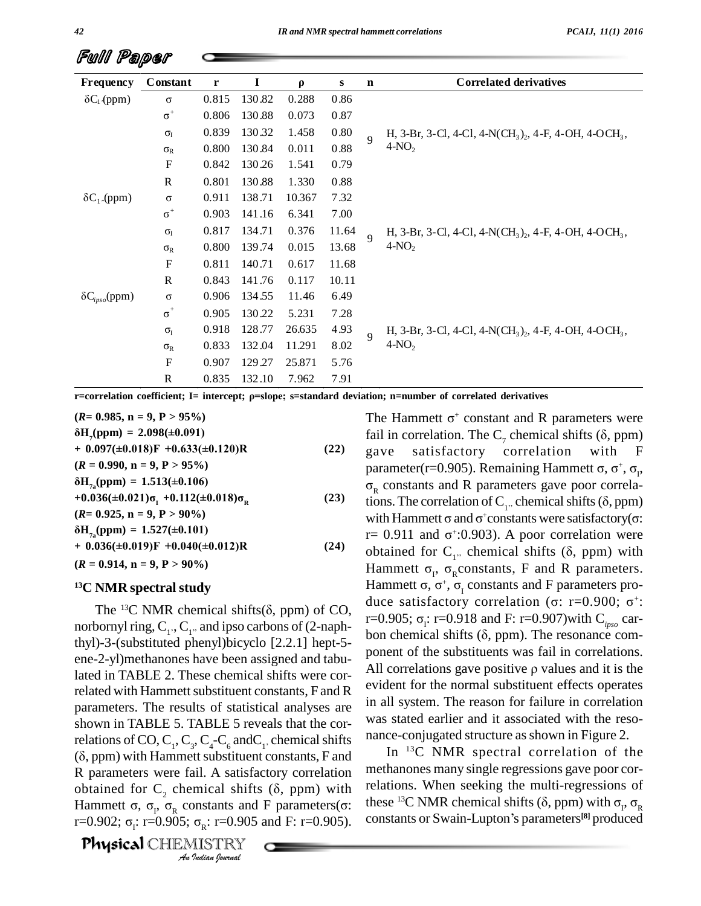| Frequency                      | Constant                        | r     | 1      | $\rho$ | S     | $\mathbf n$ | <b>Correlated derivatives</b>                                                             |
|--------------------------------|---------------------------------|-------|--------|--------|-------|-------------|-------------------------------------------------------------------------------------------|
| $\delta C_1$ (ppm)             | $\sigma$                        | 0.815 | 130.82 | 0.288  | 0.86  |             |                                                                                           |
|                                | $\sigma^+$                      | 0.806 | 130.88 | 0.073  | 0.87  |             |                                                                                           |
|                                | $\sigma_I$                      | 0.839 | 130.32 | 1.458  | 0.80  | $\Omega$    | H, 3-Br, 3-Cl, 4-Cl, 4-N(CH <sub>3</sub> ) <sub>2</sub> , 4-F, 4-OH, 4-OCH <sub>3</sub> , |
|                                | $\sigma_{R}$                    | 0.800 | 130.84 | 0.011  | 0.88  |             | $4-NO2$                                                                                   |
|                                | F                               | 0.842 | 130.26 | 1.541  | 0.79  |             |                                                                                           |
|                                | R                               | 0.801 | 130.88 | 1.330  | 0.88  |             |                                                                                           |
| $\delta C_1$ (ppm)             | $\sigma$                        | 0.911 | 138.71 | 10.367 | 7.32  |             |                                                                                           |
|                                | $\sigma^{\scriptscriptstyle +}$ | 0.903 | 141.16 | 6.341  | 7.00  |             |                                                                                           |
|                                | $\sigma_{I}$                    | 0.817 | 134.71 | 0.376  | 11.64 | $\mathbf Q$ | H, 3-Br, 3-Cl, 4-Cl, 4-N(CH <sub>3</sub> ) <sub>2</sub> , 4-F, 4-OH, 4-OCH <sub>3</sub> , |
|                                | $\sigma_{R}$                    | 0.800 | 139.74 | 0.015  | 13.68 |             | $4-NO2$                                                                                   |
|                                | $\boldsymbol{\mathrm{F}}$       | 0.811 | 140.71 | 0.617  | 11.68 |             |                                                                                           |
|                                | R                               | 0.843 | 141.76 | 0.117  | 10.11 |             |                                                                                           |
| $\delta C_{i\rho s\rho}$ (ppm) | $\sigma$                        | 0.906 | 134.55 | 11.46  | 6.49  |             |                                                                                           |
|                                | $\sigma^{\scriptscriptstyle +}$ | 0.905 | 130.22 | 5.231  | 7.28  |             |                                                                                           |
|                                | $\sigma_{I}$                    | 0.918 | 128.77 | 26.635 | 4.93  | $\mathbf Q$ | H, 3-Br, 3-Cl, 4-Cl, 4-N(CH <sub>3</sub> ) <sub>2</sub> , 4-F, 4-OH, 4-OCH <sub>3</sub> , |
|                                | $\sigma_{R}$                    | 0.833 | 132.04 | 11.291 | 8.02  |             | $4-NO2$                                                                                   |
|                                | F                               | 0.907 | 129.27 | 25.871 | 5.76  |             |                                                                                           |
|                                | R                               | 0.835 | 132.10 | 7.962  | 7.91  |             |                                                                                           |

r=correlation coefficient; I= intercept; p=slope; s=standard deviation; n=number of correlated derivatives

 $(R = 0.985, n = 9, P > 95\%)$  $\delta H_{\gamma}$ (ppm) = 2.098(±0.091)  $+$  0.097( $\pm$ 0.018)F +0.633( $\pm$ 0.120)R  $(22)$  $(R = 0.990, n = 9, P > 95\%)$  $\delta H_{7}$ (ppm) = 1.513(±0.106)  $+0.036(\pm 0.021)\sigma_{\rm r}$  +0.112( $\pm 0.018\sigma_{\rm p}$  $(23)$  $(R= 0.925, n = 9, P > 90\%)$  $\delta H_{7}$ (ppm) = 1.527(±0.101)  $+$  0.036(±0.019)F +0.040(±0.012)R  $(24)$  $(R = 0.914, n = 9, P > 90\%)$ 

### <sup>13</sup>C NMR spectral study

The <sup>13</sup>C NMR chemical shifts( $\delta$ , ppm) of CO, norbornyl ring,  $C_1$ ,  $C_1$ , and ipso carbons of (2-naphthyl)-3-(substituted phenyl)bicyclo [2.2.1] hept-5ene-2-yl) methanones have been assigned and tabulated in TABLE 2. These chemical shifts were correlated with Hammett substituent constants, F and R parameters. The results of statistical analyses are shown in TABLE 5. TABLE 5 reveals that the correlations of CO,  $C_1$ ,  $C_3$ ,  $C_4$ - $C_6$  and  $C_1$ , chemical shifts  $(\delta, ppm)$  with Hammett substituent constants, F and R parameters were fail. A satisfactory correlation obtained for  $C_2$ , chemical shifts ( $\delta$ , ppm) with Hammett  $\sigma$ ,  $\sigma_{\rm p}$ ,  $\sigma_{\rm g}$  constants and F parameters( $\sigma$ : r=0.902;  $\sigma_i$ : r=0.905;  $\sigma_k$ : r=0.905 and F: r=0.905).

**Physical CHEMISTRY** An Indian Journal

The Hammett  $\sigma^+$  constant and R parameters were fail in correlation. The  $C_7$  chemical shifts ( $\delta$ , ppm) satisfactory correlation with gave F parameter(r=0.905). Remaining Hammett  $\sigma$ ,  $\sigma^+$ ,  $\sigma_r$ ,  $\sigma_{\rm R}$  constants and R parameters gave poor correlations. The correlation of  $C_1$ , chemical shifts ( $\delta$ , ppm) with Hammett  $\sigma$  and  $\sigma^+$ constants were satisfactory( $\sigma$ : r = 0.911 and  $\sigma$  :0.903). A poor correlation were obtained for  $C_{1}$ , chemical shifts ( $\delta$ , ppm) with Hammett  $\sigma_r$ ,  $\sigma_p$ constants, F and R parameters. Hammett  $\sigma$ ,  $\sigma^+$ ,  $\sigma_r$  constants and F parameters produce satisfactory correlation (σ: r=0.900; σ<sup>+</sup>: r=0.905;  $\sigma_i$ : r=0.918 and F: r=0.907) with C<sub>inso</sub> carbon chemical shifts  $(\delta, ppm)$ . The resonance component of the substituents was fail in correlations. All correlations gave positive  $\rho$  values and it is the evident for the normal substituent effects operates in all system. The reason for failure in correlation was stated earlier and it associated with the resonance-conjugated structure as shown in Figure 2.

In  $^{13}C$  NMR spectral correlation of the methanones many single regressions gave poor correlations. When seeking the multi-regressions of these <sup>13</sup>C NMR chemical shifts ( $\delta$ , ppm) with  $\sigma_r$ ,  $\sigma_R$ constants or Swain-Lupton's parameters<sup>[8]</sup> produced

Full Paper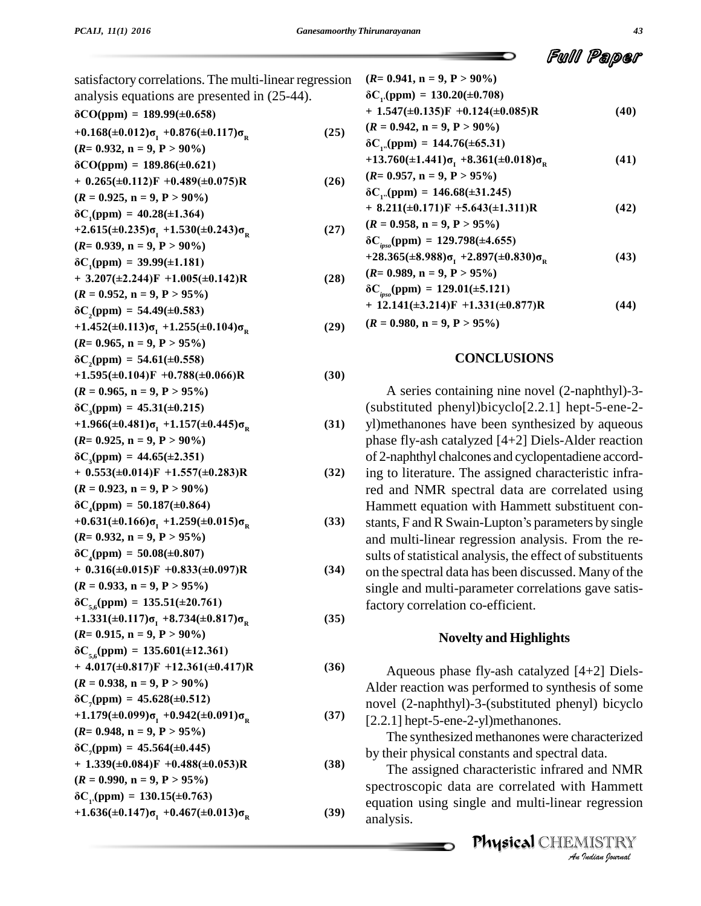satisfactory correlations. The multi-linear regression **(***R***= 0.941, n = 9, P > 90%)** analysis equations are presented in (25-44). **‰CO(ppm) <sup>=</sup> 189.99(±0.658)**

$$
\begin{array}{ll}\n\text{and } \text{and } \text{y5D} \text{ equations are presented in } (\text{25} + 1)\text{,} \\
\delta\text{CO}(ppm) = 189.99(\pm 0.658) & + \\
+ 0.168(\pm 0.012)\sigma_1 + 0.876(\pm 0.117)\sigma_R & (25) \quad \text{(1)} \\
(R = 0.932, n = 9, P > 90\%) & \delta\text{CO}(ppm) = 189.86(\pm 0.621) & + \\
+ 0.265(\pm 0.112)F + 0.489(\pm 0.075)R & (26) \quad \text{(1)} \\
(R = 0.925, n = 9, P > 90\%) & \delta\text{CO}(ppm) = 40.28(\pm 1.364) & + \\
+ 2.615(\pm 0.235)\sigma_1 + 1.530(\pm 0.243)\sigma_R & (27) \quad \text{(1)} \\
(R = 0.939, n = 9, P > 90\%) & \delta\text{CO}(ppm) = 39.99(\pm 1.181) & + \\
+ 3.207(\pm 2.244)F + 1.005(\pm 0.142)R & (28) \quad \text{(2)} \\
(R = 0.952, n = 9, P > 95\%)\n\end{array}
$$

+ 3.20/(±2.244)F +1.005(±0.142)K  
\n(R = 0.952, n = 9, P > 95%)  
\n
$$
\delta C_2(ppm) = 54.49(\pm 0.583)
$$
\n+1.452(±0.113)σ<sub>1</sub> +1.255(±0.104)σ<sub>R</sub>

+1.452(
$$
\pm
$$
0.113) $\sigma_1$  +1.255( $\pm$ 0.104) $\sigma_R$  (29) (A  
\n(*R*= 0.965, n = 9, P > 95%)  
\n $\delta C_2$ (ppm) = 54.61( $\pm$ 0.558)

$$
\delta C_2(ppm) = 54.61(\pm 0.558)
$$

$$
(K= 0.965, n = 9, P > 95\%)
$$
  
\n
$$
\delta C_2(ppm) = 54.61(\pm 0.558)
$$
  
\n+1.595(\pm 0.104)F +0.788(\pm 0.066)R  
\n
$$
(R = 0.965, n = 9, P > 95\%)
$$
  
\n
$$
\delta C_3(ppm) = 45.31(\pm 0.215)
$$
\n(30)

$$
\delta C_{\rm (DDM)} = 45.31(\pm 0.215)
$$

$$
(R = 0.965, n = 9, P > 95\%)
$$
  
\n
$$
\delta C_3(ppm) = 45.31(\pm 0.215)
$$
  
\n+1.966(\pm 0.481)\sigma\_1 +1.157(\pm 0.445)\sigma\_R  
\n(R= 0.925, n = 9, P > 90\%)  
\n
$$
\delta C_3(ppm) = 44.65(\pm 2.351)
$$
\n(31)

$$
\delta C \text{ (nnm)} = 44.65(\pm 2.351)
$$

$$
R = 0.925, n = 9, P > 90\%)
$$
  
\n
$$
\delta C_3(ppm) = 44.65(\pm 2.351)
$$
  
\n
$$
+ 0.553(\pm 0.014)F + 1.557(\pm 0.283)R
$$
  
\n
$$
(R = 0.923, n = 9, P > 90\%)
$$
  
\n
$$
\delta C_4(ppm) = 50.187(\pm 0.864)
$$
  
\n
$$
+ 0.553(\pm 0.014)F + 1.557(\pm 0.283)R
$$
  
\n
$$
+ 0.553(\pm 0.014)F + 1.557(\pm 0.283)R
$$
  
\n
$$
+ 0.553(\pm 0.014)F + 1.557(\pm 0.283)R
$$
  
\n
$$
+ 0.553(\pm 0.014)F + 1.557(\pm 0.283)R
$$
  
\n
$$
+ 0.553(\pm 0.014)F + 1.557(\pm 0.283)R
$$
  
\n
$$
+ 0.553(\pm 0.014)F + 1.557(\pm 0.283)R
$$
  
\n
$$
+ 0.553(\pm 0.014)F + 1.557(\pm 0.283)R
$$

$$
(R = 0.923, n = 9, P > 90\%)
$$
  
\n
$$
\delta C_4(ppm) = 50.187(\pm 0.864)
$$
  
\n+0.631(\pm 0.166)  $\sigma_1$  +1.259(\pm 0.015)  $\sigma_R$   
\n
$$
(R = 0.932, n = 9, P > 95\%)
$$
  
\n
$$
\delta C_4(ppm) = 50.08(\pm 0.807)
$$
 (3)

$$
\delta C_4(ppm) = 50.08(\pm 0.807)
$$

$$
i\epsilon = 0.952, n = 9, P > 95\%
$$
\n
$$
i\epsilon = 0.952, n = 9, P > 95\%
$$
\n
$$
i\epsilon = 0.933, n = 9, P > 95\%
$$
\n
$$
i\epsilon = 0.933, n = 9, P > 95\%
$$
\n
$$
i\epsilon = 0.933, n = 9, P > 95\%
$$
\n
$$
i\epsilon = 0.933, n = 9, P > 95\%
$$
\n
$$
i\epsilon = 0.933, n = 9, P > 95\%
$$
\n
$$
i\epsilon = 0.933, n = 9, P > 95\%
$$

$$
(\mathbf{K} = 0.955, \mathbf{n} = 9, \mathbf{P} > 95\%)
$$
  
\n
$$
\delta C_{5,6}(\text{ppm}) = 135.51(\pm 20.761)
$$
  
\n+1.331(\pm 0.117)\sigma<sub>1</sub> +8.734(\pm 0.817)\sigma<sub>R</sub>

+1.331(±0.117) 
$$
\sigma_{I}
$$
 +8.734(±0.817)  $\sigma_{R}$  (35)  
\n( $R$ = 0.915, n = 9, P > 90%)  
\n $\delta C_{5,6}$ (ppm) = 135.601(±12.361)

$$
\delta C_{5.6}(ppm) = 135.601(\pm 12.361)
$$

$$
(\mathbf{K} = \mathbf{0.915}, \mathbf{n} = \mathbf{9}, \mathbf{P} > 90\%)
$$
  
\n
$$
\delta C_{5,6}(\text{ppm}) = 135.601(\pm 12.361)
$$
  
\n+ 4.017(\pm 0.817)F +12.361(\pm 0.417)R (36)

+ 4.017(
$$
\pm
$$
0.817)*F* +12.361( $\pm$ 0.417)*R*  
(*R* = 0.938, n = 9, P > 90%)  
 $\delta$ C<sub>7</sub>(ppm) = 45.628( $\pm$ 0.512)

$$
(\mathbf{K} = 0.938, \mathbf{n} = 9, \mathbf{P} > 90\%)
$$
  
\n
$$
\delta C_{7}(\text{ppm}) = 45.628(\pm 0.512)
$$
  
\n+1.179(\pm 0.099)\sigma\_{1} + 0.942(\pm 0.091)\sigma\_{R} (37)  
\n( $\mathbf{R} = 0.048$ ,  $\mathbf{n} = 0$ ,  $\mathbf{R} > 0.5\%$ )

+1.179(
$$
\pm
$$
0.999) $\sigma_1$  +0.942( $\pm$ 0.091) $\sigma_R$   
(*R*= 0.948, n = 9, P > 95%)  
 $\delta C_7$ (ppm) = 45.564( $\pm$ 0.445)

$$
iK = 0.948, n = 9, P > 95\%
$$
  
\n
$$
\delta C_{7}(ppm) = 45.564(\pm 0.445)
$$
  
\n+ 1.339(\pm 0.084)F + 0.488(\pm 0.053)R  
\n(38)

**(39)**

+ 1.339(
$$
\pm
$$
0.084)*F* + 0.488( $\pm$ 0.033)*K*  
(*R* = 0.990, n = 9, P > 95%)  
 $\delta$ C<sub>1</sub>(ppm) = 130.15( $\pm$ 0.763)

$$
\delta C_{12}(ppm) = 130.15(\pm 0.763)
$$
  
+1.636(\pm 0.147)\sigma\_{1} + 0.467(\pm 0.013)\sigma\_{R}

Ful Paper

$$
(R= 0.941, n = 9, P > 90\%)
$$
\n
$$
\delta C_{P}(ppm) = 130.20(\pm 0.708)
$$
\n
$$
+ 1.547(\pm 0.135)F + 0.124(\pm 0.085)R
$$
\n
$$
(R = 0.942, n = 9, P > 90\%)
$$
\n
$$
\delta C_{P}(ppm) = 144.76(\pm 65.31)
$$
\n
$$
+ 13.760(\pm 1.441)\sigma_{I} + 8.361(\pm 0.018)\sigma_{R}
$$
\n
$$
(R = 0.957, n = 9, P > 95\%)
$$
\n
$$
\delta C_{P}(ppm) = 146.68(\pm 31.245)
$$
\n
$$
+ 8.211(\pm 0.171)F + 5.643(\pm 1.311)R
$$
\n
$$
(R = 0.958, n = 9, P > 95\%)
$$
\n
$$
\delta C_{\text{gso}}(ppm) = 129.798(\pm 4.655)
$$
\n
$$
+ 28.365(\pm 8.988)\sigma_{I} + 2.897(\pm 0.830)\sigma_{R}
$$
\n
$$
(43)
$$
\n
$$
(R = 0.989, n = 9, P > 95\%)
$$
\n
$$
\delta C_{\text{gso}}(ppm) = 129.01(\pm 5.121)
$$
\n
$$
+ 12.141(\pm 3.214)F + 1.331(\pm 0.877)R
$$
\n
$$
(44)
$$

 $(R = 0.980, n = 9, P > 95\%)$ 

### **CONCLUSIONS**

33) stants, F and R Swain-Lupton's parameters by single A series containing nine novel (2-naphthyl)-3- (substituted phenyl)bicyclo[2.2.1] hept-5-ene-2 yl)methanones have been synthesized by aqueous phase fly-ash catalyzed [4+2] Diels-Alder reaction of 2-naphthyl chalcones and cyclopentadiene according to literature. The assigned characteristic infrared and NMR spectral data are correlated using<br>Hammett equation with Hammett substituent con-<br>stants, F and R Swain-Lupton's parameters by single Hammett equation with Hammett substituent con and multi-linear regression analysis. From the re sults of statistical analysis, the effect of substituents on the spectral data has been discussed. Many of the single and multi-parameter correlations gave satisfactory correlation co-efficient.

### **Novelty and Highlights**

Aqueous phase fly-ash catalyzed [4+2] Diels- Alder reaction was performed to synthesis of some novel (2-naphthyl)-3-(substituted phenyl) bicyclo [2.2.1] hept-5-ene-2-yl)methanones.

The synthesized methanones were characterized by their physical constants and spectral data.

*An*The assigned characteristic infrared and NMR *I* and NMR<br>1 Hammett<br>regression<br>*AISTRY*<br>*Indian Iournal* spectroscopic data are correlated with Hammett equation using single and multi-linear regression analysis.